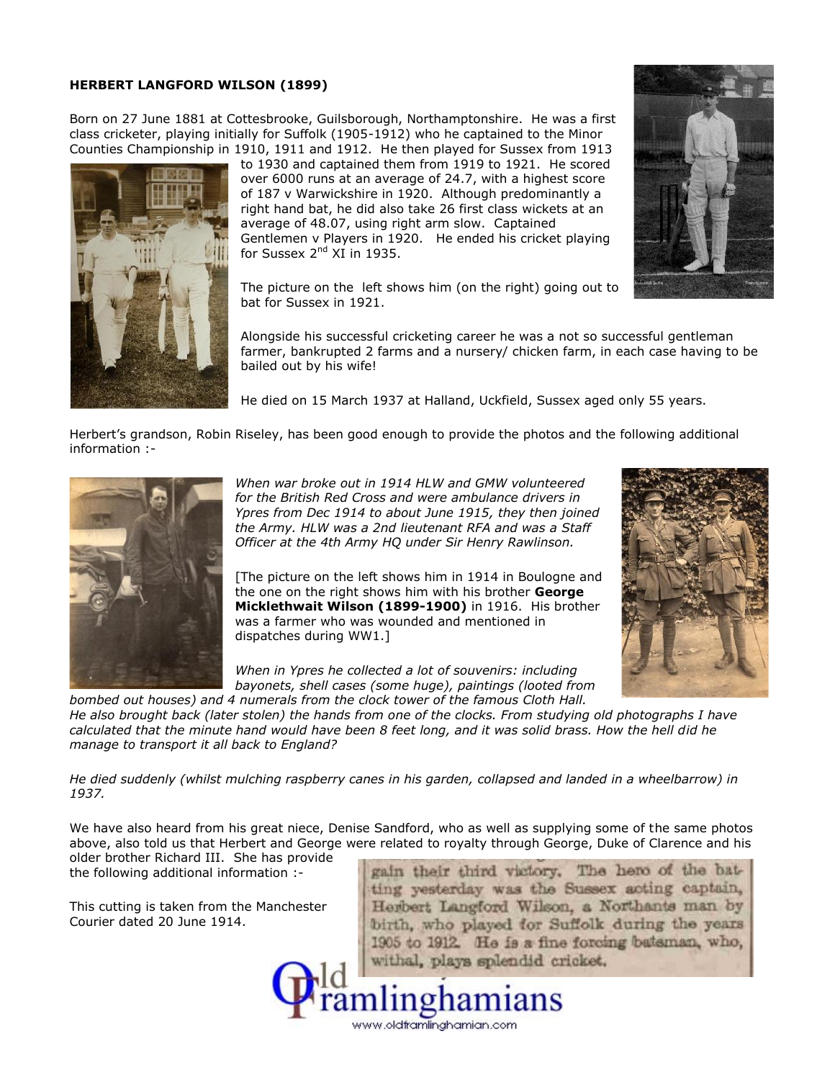## **HERBERT LANGFORD WILSON (1899)**

Born on 27 June 1881 at Cottesbrooke, Guilsborough, Northamptonshire. He was a first class cricketer, playing initially for Suffolk (1905-1912) who he captained to the Minor Counties Championship in 1910, 1911 and 1912. He then played for Sussex from 1913



to 1930 and captained them from 1919 to 1921. He scored over 6000 runs at an average of 24.7, with a highest score of 187 v Warwickshire in 1920. Although predominantly a right hand bat, he did also take 26 first class wickets at an average of 48.07, using right arm slow. Captained Gentlemen v Players in 1920. He ended his cricket playing for Sussex 2<sup>nd</sup> XI in 1935.

The picture on the left shows him (on the right) going out to bat for Sussex in 1921.

Alongside his successful cricketing career he was a not so successful gentleman farmer, bankrupted 2 farms and a nursery/ chicken farm, in each case having to be bailed out by his wife!

He died on 15 March 1937 at Halland, Uckfield, Sussex aged only 55 years.

Herbert's grandson, Robin Riseley, has been good enough to provide the photos and the following additional information :-



*When war broke out in 1914 HLW and GMW volunteered for the British Red Cross and were ambulance drivers in Ypres from Dec 1914 to about June 1915, they then joined the Army. HLW was a 2nd lieutenant RFA and was a Staff Officer at the 4th Army HQ under Sir Henry Rawlinson.*

[The picture on the left shows him in 1914 in Boulogne and the one on the right shows him with his brother **George Micklethwait Wilson (1899-1900)** in 1916. His brother was a farmer who was wounded and mentioned in dispatches during WW1.]

*When in Ypres he collected a lot of souvenirs: including bayonets, shell cases (some huge), paintings (looted from*

*bombed out houses) and 4 numerals from the clock tower of the famous Cloth Hall. He also brought back (later stolen) the hands from one of the clocks. From studying old photographs I have calculated that the minute hand would have been 8 feet long, and it was solid brass. How the hell did he manage to transport it all back to England?*

*He died suddenly (whilst mulching raspberry canes in his garden, collapsed and landed in a wheelbarrow) in 1937.*

We have also heard from his great niece, Denise Sandford, who as well as supplying some of the same photos above, also told us that Herbert and George were related to royalty through George, Duke of Clarence and his

www.oldframlinghamian.com

older brother Richard III. She has provide<br>the following additional information :- The stain their third victory. The hero of the batthe following additional information :-<br>This cutting is taken from the Manchester

Courier dated 20 June 1914.

ting yesterday was the Sussex acting captain, Herbert Langford Wilson, a Northants man by birth, who played for Suffolk during the years 1905 to 1912. He is a fine forcing bataman, who, withal, plays splendid cricket.